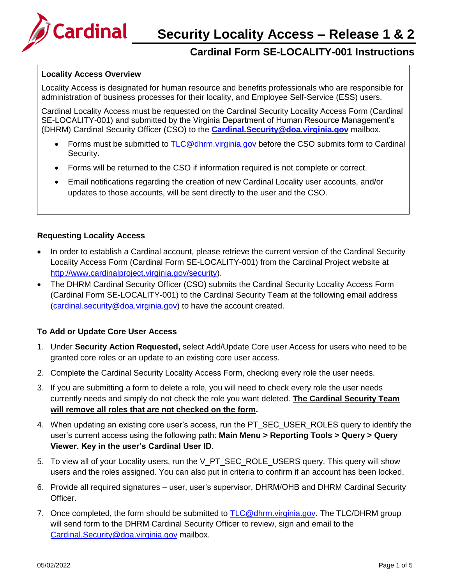

## **Cardinal Form SE-LOCALITY-001 Instructions**

#### **Locality Access Overview**

Locality Access is designated for human resource and benefits professionals who are responsible for administration of business processes for their locality, and Employee Self-Service (ESS) users.

Cardinal Locality Access must be requested on the Cardinal Security Locality Access Form (Cardinal SE-LOCALITY-001) and submitted by the Virginia Department of Human Resource Management's (DHRM) Cardinal Security Officer (CSO) to the **[Cardinal.Security@doa.virginia.gov](mailto:Cardinal.Security@doa.virginia.gov)** mailbox.

- Forms must be submitted to [TLC@dhrm.virginia.gov](mailto:TLC@dhrm.virginia.gov) before the CSO submits form to Cardinal Security.
- Forms will be returned to the CSO if information required is not complete or correct.
- Email notifications regarding the creation of new Cardinal Locality user accounts, and/or updates to those accounts, will be sent directly to the user and the CSO.

#### **Requesting Locality Access**

- In order to establish a Cardinal account, please retrieve the current version of the Cardinal Security Locality Access Form (Cardinal Form SE-LOCALITY-001) from the Cardinal Project website at [http://www.cardinalproject.virginia.gov/security\)](http://www.cardinalproject.virginia.gov/security).
- The DHRM Cardinal Security Officer (CSO) submits the Cardinal Security Locality Access Form (Cardinal Form SE-LOCALITY-001) to the Cardinal Security Team at the following email address [\(cardinal.security@doa.virginia.gov\)](mailto:cardinal.security@doa.virginia.gov) to have the account created.

#### **To Add or Update Core User Access**

- 1. Under **Security Action Requested,** select Add/Update Core user Access for users who need to be granted core roles or an update to an existing core user access.
- 2. Complete the Cardinal Security Locality Access Form, checking every role the user needs.
- 3. If you are submitting a form to delete a role, you will need to check every role the user needs currently needs and simply do not check the role you want deleted. **The Cardinal Security Team will remove all roles that are not checked on the form.**
- 4. When updating an existing core user's access, run the PT SEC USER ROLES query to identify the user's current access using the following path: **Main Menu > Reporting Tools > Query > Query Viewer. Key in the user's Cardinal User ID.**
- 5. To view all of your Locality users, run the V\_PT\_SEC\_ROLE\_USERS query. This query will show users and the roles assigned. You can also put in criteria to confirm if an account has been locked.
- 6. Provide all required signatures user, user's supervisor, DHRM/OHB and DHRM Cardinal Security Officer.
- 7. Once completed, the form should be submitted to [TLC@dhrm.virginia.gov.](mailto:TLC@dhrm.virginia.gov) The TLC/DHRM group will send form to the DHRM Cardinal Security Officer to review, sign and email to the [Cardinal.Security@doa.virginia.gov](mailto:Cardinal.Security@doa.virginia.gov) mailbox.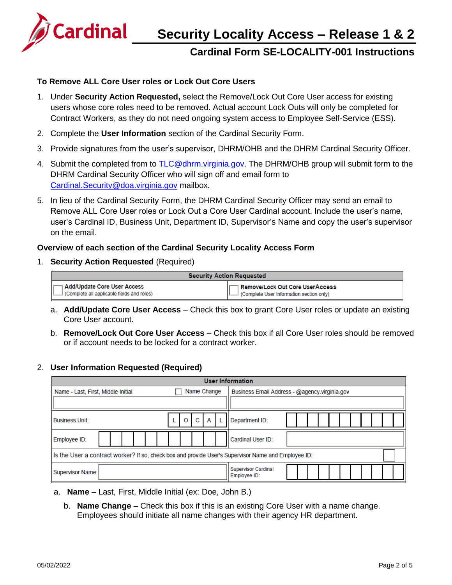

## **Security Locality Access – Release 1 & 2**

### **Cardinal Form SE-LOCALITY-001 Instructions**

#### **To Remove ALL Core User roles or Lock Out Core Users**

- 1. Under **Security Action Requested,** select the Remove/Lock Out Core User access for existing users whose core roles need to be removed. Actual account Lock Outs will only be completed for Contract Workers, as they do not need ongoing system access to Employee Self-Service (ESS).
- 2. Complete the **User Information** section of the Cardinal Security Form.
- 3. Provide signatures from the user's supervisor, DHRM/OHB and the DHRM Cardinal Security Officer.
- 4. Submit the completed from to [TLC@dhrm.virginia.gov.](mailto:TLC@dhrm.virginia.gov) The DHRM/OHB group will submit form to the DHRM Cardinal Security Officer who will sign off and email form to [Cardinal.Security@doa.virginia.gov](mailto:Cardinal.Security@doa.virginia.gov) mailbox.
- 5. In lieu of the Cardinal Security Form, the DHRM Cardinal Security Officer may send an email to Remove ALL Core User roles or Lock Out a Core User Cardinal account. Include the user's name, user's Cardinal ID, Business Unit, Department ID, Supervisor's Name and copy the user's supervisor on the email.

#### **Overview of each section of the Cardinal Security Locality Access Form**

1. **Security Action Requested** (Required)

| <b>Security Action Requested</b>           |                                          |  |
|--------------------------------------------|------------------------------------------|--|
| Add/Update Core User Access                | 1 Remove/Lock Out Core UserAccess        |  |
| (Complete all applicable fields and roles) | (Complete User Information section only) |  |

- a. **Add/Update Core User Access**  Check this box to grant Core User roles or update an existing Core User account.
- b. **Remove/Lock Out Core User Access**  Check this box if all Core User roles should be removed or if account needs to be locked for a contract worker.

#### 2. **User Information Requested (Required)**

| <b>User Information</b>                                                                             |                                               |  |  |  |  |  |  |  |
|-----------------------------------------------------------------------------------------------------|-----------------------------------------------|--|--|--|--|--|--|--|
| Name Change<br>Name - Last, First, Middle Initial                                                   | Business Email Address - @agency.virginia.gov |  |  |  |  |  |  |  |
|                                                                                                     |                                               |  |  |  |  |  |  |  |
| C<br>A<br><b>Business Unit:</b><br>O                                                                | Department ID:                                |  |  |  |  |  |  |  |
| Employee ID:                                                                                        | Cardinal User ID:                             |  |  |  |  |  |  |  |
| Is the User a contract worker? If so, check box and provide User's Supervisor Name and Employee ID: |                                               |  |  |  |  |  |  |  |
| Supervisor Name:                                                                                    | <b>Supervisor Cardinal</b><br>Employee ID:    |  |  |  |  |  |  |  |

- a. **Name –** Last, First, Middle Initial (ex: Doe, John B.)
	- b. **Name Change –** Check this box if this is an existing Core User with a name change. Employees should initiate all name changes with their agency HR department.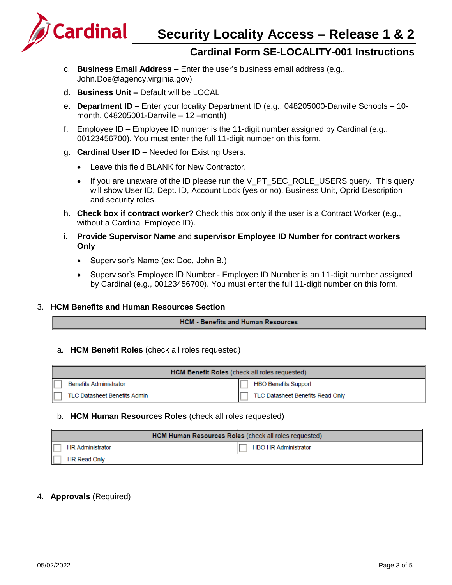**Security Locality Access – Release 1 & 2**



### **Cardinal Form SE-LOCALITY-001 Instructions**

- c. **Business Email Address –** Enter the user's business email address (e.g.[,](mailto:John.Doe@agency.virginia.gov) [John.Doe@agency.virginia.gov\)](mailto:John.Doe@agency.virginia.gov)
- d. **Business Unit –** Default will be LOCAL
- e. **Department ID –** Enter your locality Department ID (e.g., 048205000-Danville Schools 10 month, 048205001-Danville – 12 –month)
- f. Employee ID Employee ID number is the 11-digit number assigned by Cardinal (e.g., 00123456700). You must enter the full 11-digit number on this form.
- g. **Cardinal User ID –** Needed for Existing Users.
	- Leave this field BLANK for New Contractor.
	- If you are unaware of the ID please run the V\_PT\_SEC\_ROLE\_USERS query. This query will show User ID, Dept. ID, Account Lock (yes or no), Business Unit, Oprid Description and security roles.
- h. **Check box if contract worker?** Check this box only if the user is a Contract Worker (e.g., without a Cardinal Employee ID).
- i. **Provide Supervisor Name** and **supervisor Employee ID Number for contract workers Only**
	- Supervisor's Name (ex: Doe, John B.)
	- Supervisor's Employee ID Number Employee ID Number is an 11-digit number assigned by Cardinal (e.g., 00123456700). You must enter the full 11-digit number on this form.

#### 3. **HCM Benefits and Human Resources Section**

#### **HCM - Benefits and Human Resources**

#### a. **HCM Benefit Roles** (check all roles requested)

| <b>HCM Benefit Roles</b> (check all roles requested) |                                     |                                  |  |  |
|------------------------------------------------------|-------------------------------------|----------------------------------|--|--|
|                                                      | <b>Benefits Administrator</b>       | HBO Benefits Support             |  |  |
|                                                      | <b>TLC Datasheet Benefits Admin</b> | TLC Datasheet Benefits Read Only |  |  |

#### b. **HCM Human Resources Roles** (check all roles requested)

| HCM Human Resources Roles (check all roles requested) |                             |  |  |  |
|-------------------------------------------------------|-----------------------------|--|--|--|
| <b>HR Administrator</b>                               | <b>HBO HR Administrator</b> |  |  |  |
| <b>HR Read Only</b>                                   |                             |  |  |  |

#### 4. **Approvals** (Required)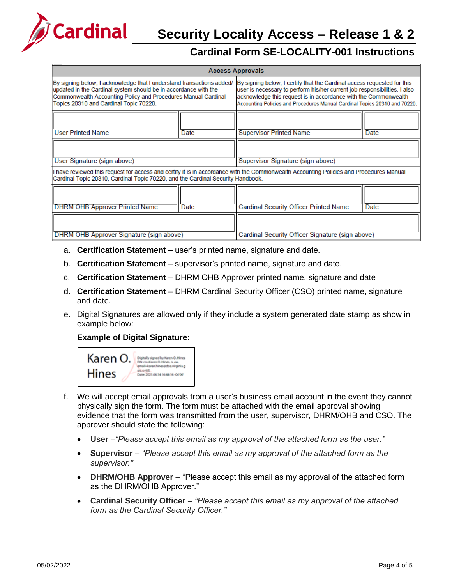

# **Security Locality Access – Release 1 & 2**

## **Cardinal Form SE-LOCALITY-001 Instructions**

| <b>Access Approvals</b>                                                                                                                                                                                                                             |             |                                                                                                                                                                                                                                                                                                       |      |  |  |  |
|-----------------------------------------------------------------------------------------------------------------------------------------------------------------------------------------------------------------------------------------------------|-------------|-------------------------------------------------------------------------------------------------------------------------------------------------------------------------------------------------------------------------------------------------------------------------------------------------------|------|--|--|--|
| By signing below, I acknowledge that I understand transactions added/<br>updated in the Cardinal system should be in accordance with the<br>Commonwealth Accounting Policy and Procedures Manual Cardinal<br>Topics 20310 and Cardinal Topic 70220. |             | By signing below, I certify that the Cardinal access requested for this<br>user is necessary to perform his/her current job responsibilities. I also<br>acknowledge this request is in accordance with the Commonwealth<br>Accounting Policies and Procedures Manual Cardinal Topics 20310 and 70220. |      |  |  |  |
| <b>User Printed Name</b>                                                                                                                                                                                                                            | Date        | <b>Supervisor Printed Name</b>                                                                                                                                                                                                                                                                        | Date |  |  |  |
| User Signature (sign above)                                                                                                                                                                                                                         |             | Supervisor Signature (sign above)                                                                                                                                                                                                                                                                     |      |  |  |  |
| have reviewed this request for access and certify it is in accordance with the Commonwealth Accounting Policies and Procedures Manual<br>Cardinal Topic 20310, Cardinal Topic 70220, and the Cardinal Security Handbook.                            |             |                                                                                                                                                                                                                                                                                                       |      |  |  |  |
| <b>DHRM OHB Approver Printed Name</b>                                                                                                                                                                                                               | <b>Date</b> | <b>Cardinal Security Officer Printed Name</b>                                                                                                                                                                                                                                                         | Date |  |  |  |
| DHRM OHB Approver Signature (sign above)                                                                                                                                                                                                            |             | Cardinal Security Officer Signature (sign above)                                                                                                                                                                                                                                                      |      |  |  |  |

- a. **Certification Statement** user's printed name, signature and date.
- b. **Certification Statement** supervisor's printed name, signature and date.
- c. **Certification Statement** DHRM OHB Approver printed name, signature and date
- d. **Certification Statement** DHRM Cardinal Security Officer (CSO) printed name, signature and date.
- e. Digital Signatures are allowed only if they include a system generated date stamp as show in example below:

#### **Example of Digital Signature:**



- f. We will accept email approvals from a user's business email account in the event they cannot physically sign the form. The form must be attached with the email approval showing evidence that the form was transmitted from the user, supervisor, DHRM/OHB and CSO. The approver should state the following:
	- **User** *–"Please accept this email as my approval of the attached form as the user."*
	- **Supervisor** *"Please accept this email as my approval of the attached form as the supervisor."*
	- **DHRM/OHB Approver –** "Please accept this email as my approval of the attached form as the DHRM/OHB Approver."
	- **Cardinal Security Officer** *"Please accept this email as my approval of the attached form as the Cardinal Security Officer."*